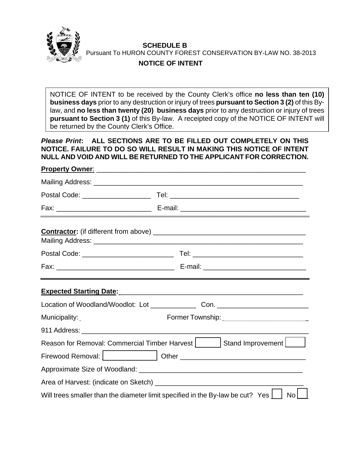

**SCHEDULE B**  Pursuant To HURON COUNTY FOREST CONSERVATION BY-LAW NO. 38-2013

## **NOTICE OF INTENT**

NOTICE OF INTENT to be received by the County Clerk's office **no less than ten (10) business days** prior to any destruction or injury of trees **pursuant to Section 3 (2)** of this Bylaw, and **no less than twenty (20) business days** prior to any destruction or injury of trees **pursuant to Section 3 (1)** of this By-law. A receipted copy of the NOTICE OF INTENT will be returned by the County Clerk's Office.

 *Please Print***: ALL SECTIONS ARE TO BE FILLED OUT COMPLETELY ON THIS NOTICE. FAILURE TO DO SO WILL RESULT IN MAKING THIS NOTICE OF INTENT NULL AND VOID AND WILL BE RETURNED TO THE APPLICANT FOR CORRECTION.** 

## **Property Owner:**

|                                                                                                    | Expected Starting Date: Manual Manual Manual Manual Manual Manual Manual Manual Manual Manual Manual Manual                                                                                                                    |  |  |  |
|----------------------------------------------------------------------------------------------------|--------------------------------------------------------------------------------------------------------------------------------------------------------------------------------------------------------------------------------|--|--|--|
|                                                                                                    |                                                                                                                                                                                                                                |  |  |  |
| Municipality:                                                                                      | Former Township:                                                                                                                                                                                                               |  |  |  |
|                                                                                                    |                                                                                                                                                                                                                                |  |  |  |
|                                                                                                    | Reason for Removal: Commercial Timber Harvest   Stand Improvement                                                                                                                                                              |  |  |  |
|                                                                                                    | Firewood Removal:   The Company of Dividend Point Company of The Company of The Point Company of The Company of The Company of The Company of The Company of The Company of The Company of The Company of The Company of The C |  |  |  |
|                                                                                                    |                                                                                                                                                                                                                                |  |  |  |
|                                                                                                    |                                                                                                                                                                                                                                |  |  |  |
| Will trees smaller than the diameter limit specified in the By-law be cut? Yes $\Box$<br><b>No</b> |                                                                                                                                                                                                                                |  |  |  |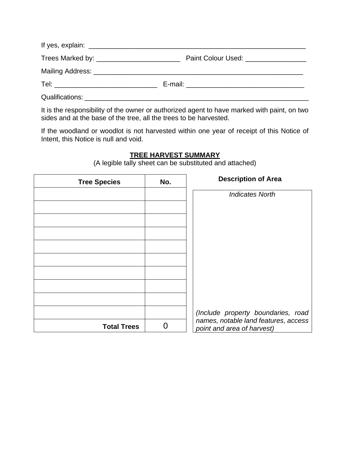| Paint Colour Used: _________________                                                                                                                                                                                           |
|--------------------------------------------------------------------------------------------------------------------------------------------------------------------------------------------------------------------------------|
|                                                                                                                                                                                                                                |
|                                                                                                                                                                                                                                |
| Qualifications: Letters and Contract and Contract and Contract and Contract and Contract and Contract and Contract and Contract and Contract and Contract and Contract and Contract and Contract and Contract and Contract and |

It is the responsibility of the owner or authorized agent to have marked with paint, on two sides and at the base of the tree, all the trees to be harvested.

If the woodland or woodlot is not harvested within one year of receipt of this Notice of Intent, this Notice is null and void.

## **TREE HARVEST SUMMARY**

(A legible tally sheet can be substituted and attached)

| <b>Tree Species</b> | No. | <b>Description of Area</b>                                         |  |
|---------------------|-----|--------------------------------------------------------------------|--|
|                     |     | <b>Indicates North</b>                                             |  |
|                     |     |                                                                    |  |
|                     |     |                                                                    |  |
|                     |     |                                                                    |  |
|                     |     |                                                                    |  |
|                     |     |                                                                    |  |
|                     |     |                                                                    |  |
|                     |     |                                                                    |  |
|                     |     |                                                                    |  |
|                     |     | (Include property boundaries, road                                 |  |
| <b>Total Trees</b>  |     | names, notable land features, access<br>point and area of harvest) |  |